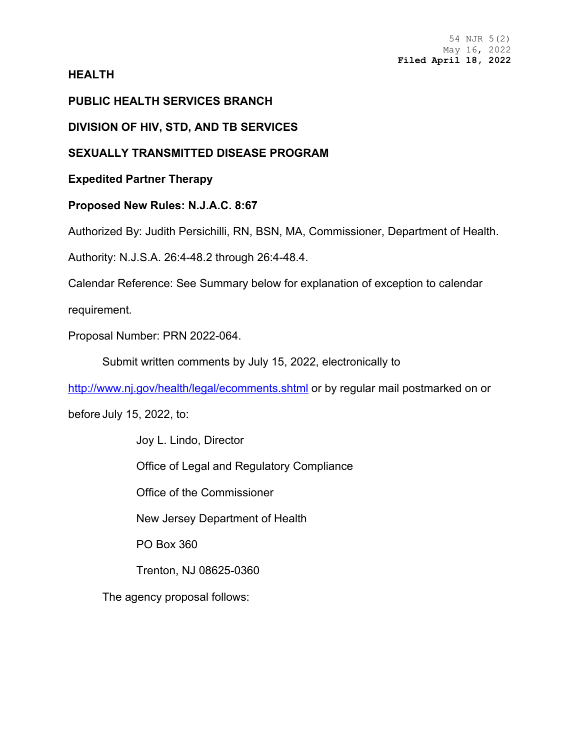## **HEALTH**

# **PUBLIC HEALTH SERVICES BRANCH**

**DIVISION OF HIV, STD, AND TB SERVICES**

# **SEXUALLY TRANSMITTED DISEASE PROGRAM**

**Expedited Partner Therapy**

**Proposed New Rules: N.J.A.C. 8:67**

Authorized By: Judith Persichilli, RN, BSN, MA, Commissioner, Department of Health.

Authority: N.J.S.A. 26:4-48.2 through 26:4-48.4.

Calendar Reference: See Summary below for explanation of exception to calendar

requirement.

Proposal Number: PRN 2022-064.

Submit written comments by July 15, 2022, electronically to

<http://www.nj.gov/health/legal/ecomments.shtml> or by regular mail postmarked on or

before July 15, 2022, to:

Joy L. Lindo, Director Office of Legal and Regulatory Compliance Office of the Commissioner New Jersey Department of Health PO Box 360 Trenton, NJ 08625-0360

The agency proposal follows: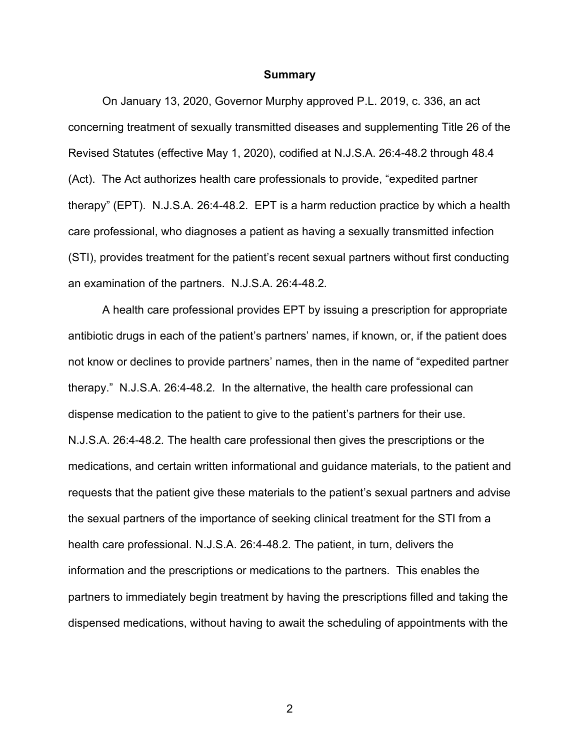#### **Summary**

On January 13, 2020, Governor Murphy approved P.L. 2019, c. 336, an act concerning treatment of sexually transmitted diseases and supplementing Title 26 of the Revised Statutes (effective May 1, 2020), codified at N.J.S.A. 26:4-48.2 through 48.4 (Act). The Act authorizes health care professionals to provide, "expedited partner therapy" (EPT). N.J.S.A. 26:4-48.2. EPT is a harm reduction practice by which a health care professional, who diagnoses a patient as having a sexually transmitted infection (STI), provides treatment for the patient's recent sexual partners without first conducting an examination of the partners. N.J.S.A. 26:4-48.2*.*

A health care professional provides EPT by issuing a prescription for appropriate antibiotic drugs in each of the patient's partners' names, if known, or, if the patient does not know or declines to provide partners' names, then in the name of "expedited partner therapy." N.J.S.A. 26:4-48.2*.* In the alternative, the health care professional can dispense medication to the patient to give to the patient's partners for their use. N.J.S.A. 26:4-48.2*.* The health care professional then gives the prescriptions or the medications, and certain written informational and guidance materials, to the patient and requests that the patient give these materials to the patient's sexual partners and advise the sexual partners of the importance of seeking clinical treatment for the STI from a health care professional. N.J.S.A. 26:4-48.2*.* The patient, in turn, delivers the information and the prescriptions or medications to the partners. This enables the partners to immediately begin treatment by having the prescriptions filled and taking the dispensed medications, without having to await the scheduling of appointments with the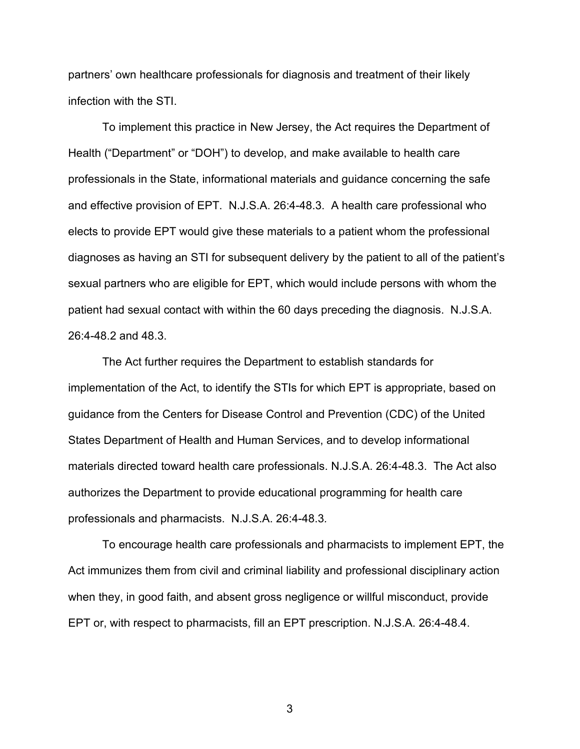partners' own healthcare professionals for diagnosis and treatment of their likely infection with the STI.

To implement this practice in New Jersey, the Act requires the Department of Health ("Department" or "DOH") to develop, and make available to health care professionals in the State, informational materials and guidance concerning the safe and effective provision of EPT. N.J.S.A. 26:4-48.3. A health care professional who elects to provide EPT would give these materials to a patient whom the professional diagnoses as having an STI for subsequent delivery by the patient to all of the patient's sexual partners who are eligible for EPT, which would include persons with whom the patient had sexual contact with within the 60 days preceding the diagnosis. N.J.S.A. 26:4-48.2 and 48.3.

The Act further requires the Department to establish standards for implementation of the Act, to identify the STIs for which EPT is appropriate, based on guidance from the Centers for Disease Control and Prevention (CDC) of the United States Department of Health and Human Services, and to develop informational materials directed toward health care professionals. N.J.S.A. 26:4-48.3. The Act also authorizes the Department to provide educational programming for health care professionals and pharmacists. N.J.S.A. 26:4-48.3*.*

To encourage health care professionals and pharmacists to implement EPT, the Act immunizes them from civil and criminal liability and professional disciplinary action when they, in good faith, and absent gross negligence or willful misconduct, provide EPT or, with respect to pharmacists, fill an EPT prescription. N.J.S.A. 26:4-48.4.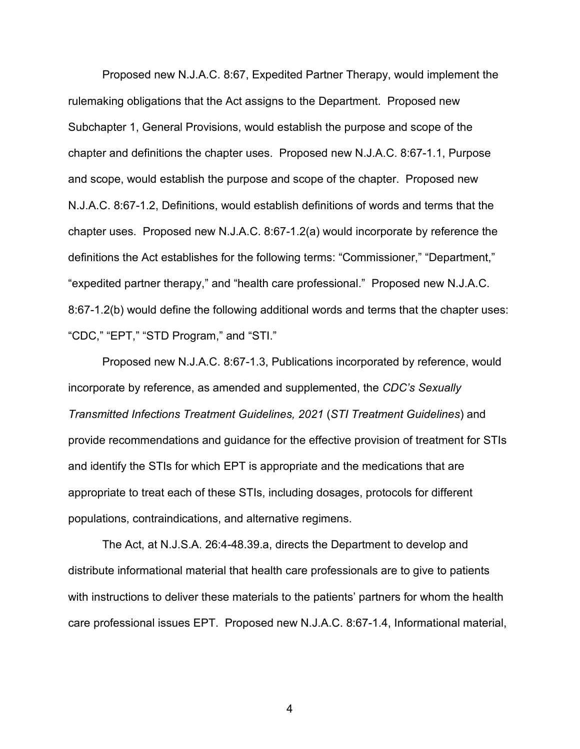Proposed new N.J.A.C. 8:67, Expedited Partner Therapy, would implement the rulemaking obligations that the Act assigns to the Department. Proposed new Subchapter 1, General Provisions, would establish the purpose and scope of the chapter and definitions the chapter uses. Proposed new N.J.A.C. 8:67-1.1, Purpose and scope, would establish the purpose and scope of the chapter. Proposed new N.J.A.C. 8:67-1.2, Definitions, would establish definitions of words and terms that the chapter uses. Proposed new N.J.A.C. 8:67-1.2(a) would incorporate by reference the definitions the Act establishes for the following terms: "Commissioner," "Department," "expedited partner therapy," and "health care professional." Proposed new N.J.A.C. 8:67-1.2(b) would define the following additional words and terms that the chapter uses: "CDC," "EPT," "STD Program," and "STI."

Proposed new N.J.A.C. 8:67-1.3, Publications incorporated by reference, would incorporate by reference, as amended and supplemented, the *CDC's Sexually Transmitted Infections Treatment Guidelines, 2021* (*STI Treatment Guidelines*) and provide recommendations and guidance for the effective provision of treatment for STIs and identify the STIs for which EPT is appropriate and the medications that are appropriate to treat each of these STIs, including dosages, protocols for different populations, contraindications, and alternative regimens.

The Act, at N.J.S.A. 26:4-48.39.a, directs the Department to develop and distribute informational material that health care professionals are to give to patients with instructions to deliver these materials to the patients' partners for whom the health care professional issues EPT. Proposed new N.J.A.C. 8:67-1.4, Informational material,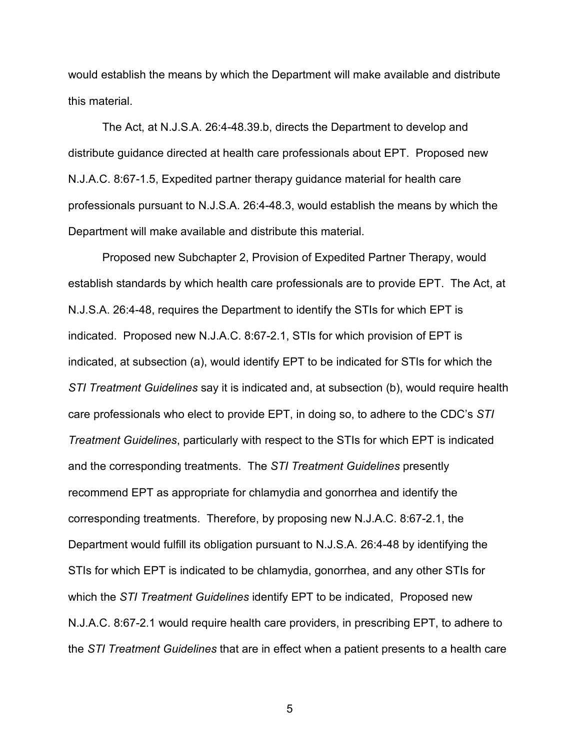would establish the means by which the Department will make available and distribute this material.

The Act, at N.J.S.A. 26:4-48.39.b, directs the Department to develop and distribute guidance directed at health care professionals about EPT. Proposed new N.J.A.C. 8:67-1.5, Expedited partner therapy guidance material for health care professionals pursuant to N.J.S.A. 26:4-48.3, would establish the means by which the Department will make available and distribute this material.

Proposed new Subchapter 2, Provision of Expedited Partner Therapy, would establish standards by which health care professionals are to provide EPT. The Act, at N.J.S.A. 26:4-48, requires the Department to identify the STIs for which EPT is indicated. Proposed new N.J.A.C. 8:67-2.1, STIs for which provision of EPT is indicated, at subsection (a), would identify EPT to be indicated for STIs for which the *STI Treatment Guidelines* say it is indicated and, at subsection (b), would require health care professionals who elect to provide EPT, in doing so, to adhere to the CDC's *STI Treatment Guidelines*, particularly with respect to the STIs for which EPT is indicated and the corresponding treatments. The *STI Treatment Guidelines* presently recommend EPT as appropriate for chlamydia and gonorrhea and identify the corresponding treatments. Therefore, by proposing new N.J.A.C. 8:67-2.1, the Department would fulfill its obligation pursuant to N.J.S.A. 26:4-48 by identifying the STIs for which EPT is indicated to be chlamydia, gonorrhea, and any other STIs for which the *STI Treatment Guidelines* identify EPT to be indicated, Proposed new N.J.A.C. 8:67-2.1 would require health care providers, in prescribing EPT, to adhere to the *STI Treatment Guidelines* that are in effect when a patient presents to a health care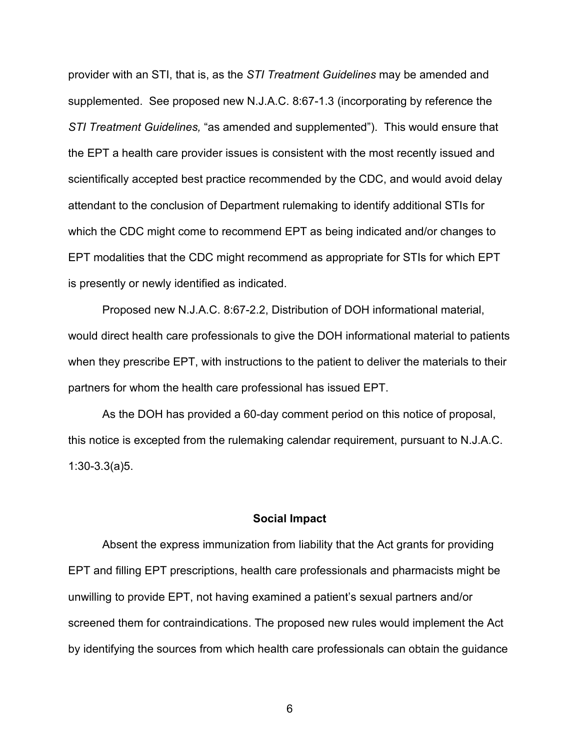provider with an STI, that is, as the *STI Treatment Guidelines* may be amended and supplemented. See proposed new N.J.A.C. 8:67-1.3 (incorporating by reference the *STI Treatment Guidelines,* "as amended and supplemented"). This would ensure that the EPT a health care provider issues is consistent with the most recently issued and scientifically accepted best practice recommended by the CDC, and would avoid delay attendant to the conclusion of Department rulemaking to identify additional STIs for which the CDC might come to recommend EPT as being indicated and/or changes to EPT modalities that the CDC might recommend as appropriate for STIs for which EPT is presently or newly identified as indicated.

Proposed new N.J.A.C. 8:67-2.2, Distribution of DOH informational material, would direct health care professionals to give the DOH informational material to patients when they prescribe EPT, with instructions to the patient to deliver the materials to their partners for whom the health care professional has issued EPT.

As the DOH has provided a 60-day comment period on this notice of proposal, this notice is excepted from the rulemaking calendar requirement, pursuant to N.J.A.C. 1:30-3.3(a)5.

## **Social Impact**

Absent the express immunization from liability that the Act grants for providing EPT and filling EPT prescriptions, health care professionals and pharmacists might be unwilling to provide EPT, not having examined a patient's sexual partners and/or screened them for contraindications. The proposed new rules would implement the Act by identifying the sources from which health care professionals can obtain the guidance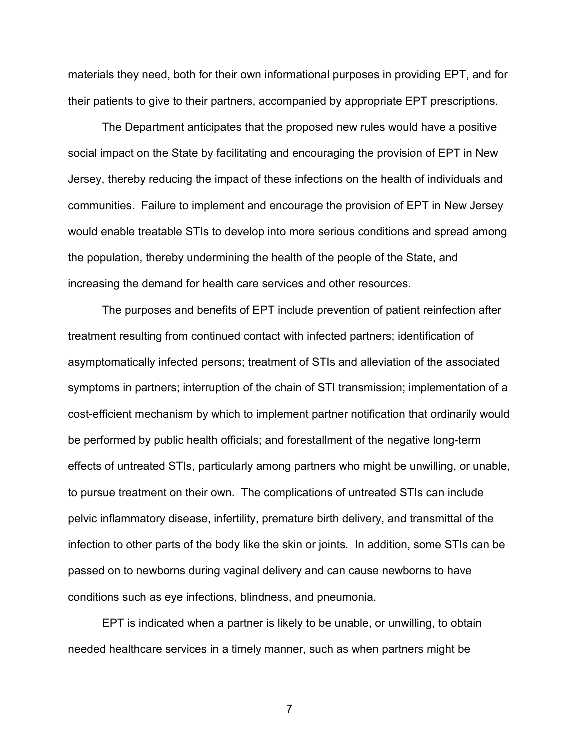materials they need, both for their own informational purposes in providing EPT, and for their patients to give to their partners, accompanied by appropriate EPT prescriptions.

The Department anticipates that the proposed new rules would have a positive social impact on the State by facilitating and encouraging the provision of EPT in New Jersey, thereby reducing the impact of these infections on the health of individuals and communities. Failure to implement and encourage the provision of EPT in New Jersey would enable treatable STIs to develop into more serious conditions and spread among the population, thereby undermining the health of the people of the State, and increasing the demand for health care services and other resources.

The purposes and benefits of EPT include prevention of patient reinfection after treatment resulting from continued contact with infected partners; identification of asymptomatically infected persons; treatment of STIs and alleviation of the associated symptoms in partners; interruption of the chain of STI transmission; implementation of a cost-efficient mechanism by which to implement partner notification that ordinarily would be performed by public health officials; and forestallment of the negative long-term effects of untreated STIs, particularly among partners who might be unwilling, or unable, to pursue treatment on their own. The complications of untreated STIs can include pelvic inflammatory disease, infertility, premature birth delivery, and transmittal of the infection to other parts of the body like the skin or joints. In addition, some STIs can be passed on to newborns during vaginal delivery and can cause newborns to have conditions such as eye infections, blindness, and pneumonia.

EPT is indicated when a partner is likely to be unable, or unwilling, to obtain needed healthcare services in a timely manner, such as when partners might be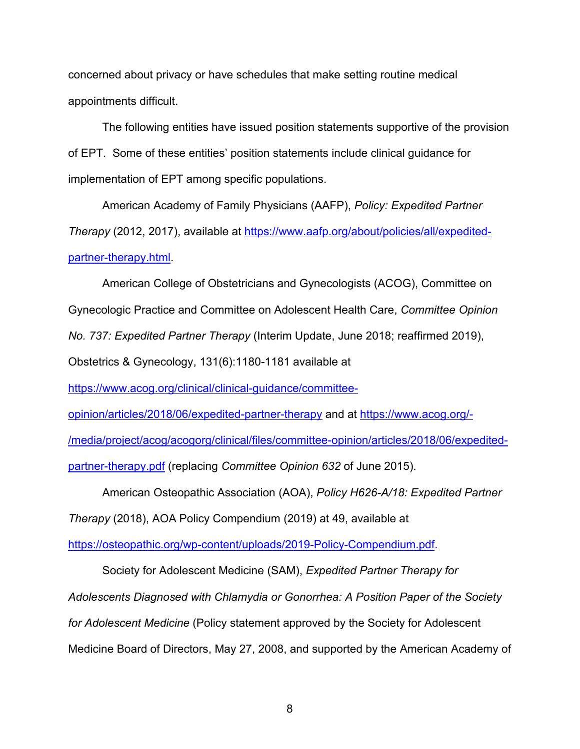concerned about privacy or have schedules that make setting routine medical appointments difficult.

The following entities have issued position statements supportive of the provision of EPT. Some of these entities' position statements include clinical guidance for implementation of EPT among specific populations.

American Academy of Family Physicians (AAFP), *Policy: Expedited Partner Therapy* (2012, 2017), available at [https://www.aafp.org/about/policies/all/expedited](https://www.aafp.org/about/policies/all/expedited-partner-therapy.html)[partner-therapy.html.](https://www.aafp.org/about/policies/all/expedited-partner-therapy.html)

American College of Obstetricians and Gynecologists (ACOG), Committee on Gynecologic Practice and Committee on Adolescent Health Care, *Committee Opinion No. 737: Expedited Partner Therapy* (Interim Update, June 2018; reaffirmed 2019),

Obstetrics & Gynecology, 131(6):1180-1181 available at

[https://www.acog.org/clinical/clinical-guidance/committee-](https://www.acog.org/clinical/clinical-guidance/committee-opinion/articles/2018/06/expedited-partner-therapy)

[opinion/articles/2018/06/expedited-partner-therapy](https://www.acog.org/clinical/clinical-guidance/committee-opinion/articles/2018/06/expedited-partner-therapy) and at [https://www.acog.org/-](https://www.acog.org/-/media/project/acog/acogorg/clinical/files/committee-opinion/articles/2018/06/expedited-partner-therapy.pdf)

[/media/project/acog/acogorg/clinical/files/committee-opinion/articles/2018/06/expedited-](https://www.acog.org/-/media/project/acog/acogorg/clinical/files/committee-opinion/articles/2018/06/expedited-partner-therapy.pdf)

[partner-therapy.pdf](https://www.acog.org/-/media/project/acog/acogorg/clinical/files/committee-opinion/articles/2018/06/expedited-partner-therapy.pdf) (replacing *Committee Opinion 632* of June 2015).

American Osteopathic Association (AOA), *Policy H626-A/18: Expedited Partner* 

*Therapy* (2018), AOA Policy Compendium (2019) at 49, available at

[https://osteopathic.org/wp-content/uploads/2019-Policy-Compendium.pdf.](https://osteopathic.org/wp-content/uploads/2019-Policy-Compendium.pdf)

Society for Adolescent Medicine (SAM), *Expedited Partner Therapy for Adolescents Diagnosed with Chlamydia or Gonorrhea: A Position Paper of the Society for Adolescent Medicine* (Policy statement approved by the Society for Adolescent Medicine Board of Directors, May 27, 2008, and supported by the American Academy of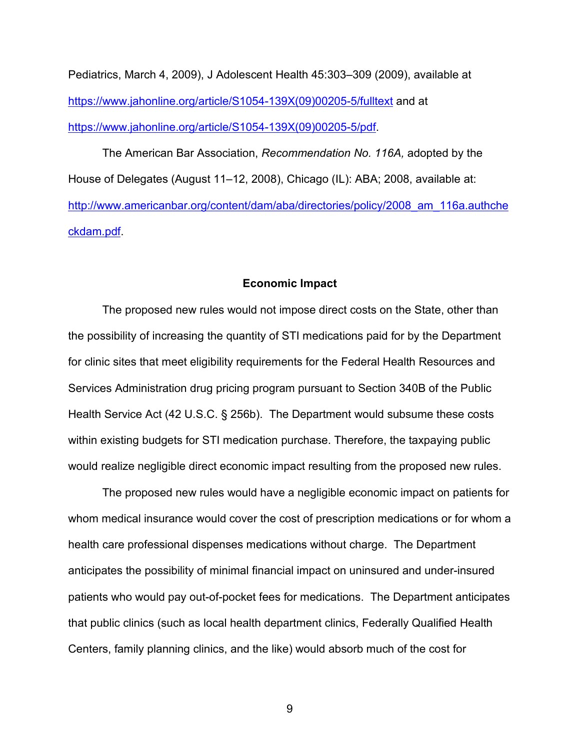Pediatrics, March 4, 2009), J Adolescent Health 45:303–309 (2009), available at [https://www.jahonline.org/article/S1054-139X\(09\)00205-5/fulltext](https://www.jahonline.org/article/S1054-139X(09)00205-5/fulltext) and at [https://www.jahonline.org/article/S1054-139X\(09\)00205-5/pdf.](https://www.jahonline.org/article/S1054-139X(09)00205-5/pdf)

The American Bar Association, *Recommendation No. 116A,* adopted by the House of Delegates (August 11–12, 2008), Chicago (IL): ABA; 2008, available at: [http://www.americanbar.org/content/dam/aba/directories/policy/2008\\_am\\_116a.authche](http://www.americanbar.org/content/dam/aba/directories/policy/2008_am_116a.authcheckdam.pdf) [ckdam.pdf.](http://www.americanbar.org/content/dam/aba/directories/policy/2008_am_116a.authcheckdam.pdf)

## **Economic Impact**

The proposed new rules would not impose direct costs on the State, other than the possibility of increasing the quantity of STI medications paid for by the Department for clinic sites that meet eligibility requirements for the Federal Health Resources and Services Administration drug pricing program pursuant to Section 340B of the Public Health Service Act (42 U.S.C. § 256b). The Department would subsume these costs within existing budgets for STI medication purchase. Therefore, the taxpaying public would realize negligible direct economic impact resulting from the proposed new rules.

The proposed new rules would have a negligible economic impact on patients for whom medical insurance would cover the cost of prescription medications or for whom a health care professional dispenses medications without charge. The Department anticipates the possibility of minimal financial impact on uninsured and under-insured patients who would pay out-of-pocket fees for medications. The Department anticipates that public clinics (such as local health department clinics, Federally Qualified Health Centers, family planning clinics, and the like) would absorb much of the cost for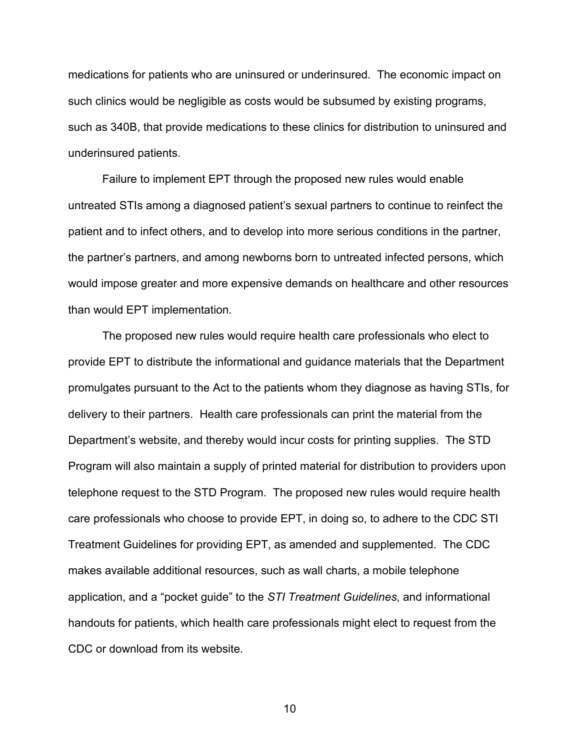medications for patients who are uninsured or underinsured. The economic impact on such clinics would be negligible as costs would be subsumed by existing programs, such as 340B, that provide medications to these clinics for distribution to uninsured and underinsured patients.

Failure to implement EPT through the proposed new rules would enable untreated STIs among a diagnosed patient's sexual partners to continue to reinfect the patient and to infect others, and to develop into more serious conditions in the partner, the partner's partners, and among newborns born to untreated infected persons, which would impose greater and more expensive demands on healthcare and other resources than would EPT implementation.

The proposed new rules would require health care professionals who elect to provide EPT to distribute the informational and guidance materials that the Department promulgates pursuant to the Act to the patients whom they diagnose as having STIs, for delivery to their partners. Health care professionals can print the material from the Department's website, and thereby would incur costs for printing supplies. The STD Program will also maintain a supply of printed material for distribution to providers upon telephone request to the STD Program. The proposed new rules would require health care professionals who choose to provide EPT, in doing so, to adhere to the CDC STI Treatment Guidelines for providing EPT, as amended and supplemented. The CDC makes available additional resources, such as wall charts, a mobile telephone application, and a "pocket guide" to the *STI Treatment Guidelines*, and informational handouts for patients, which health care professionals might elect to request from the CDC or download from its website.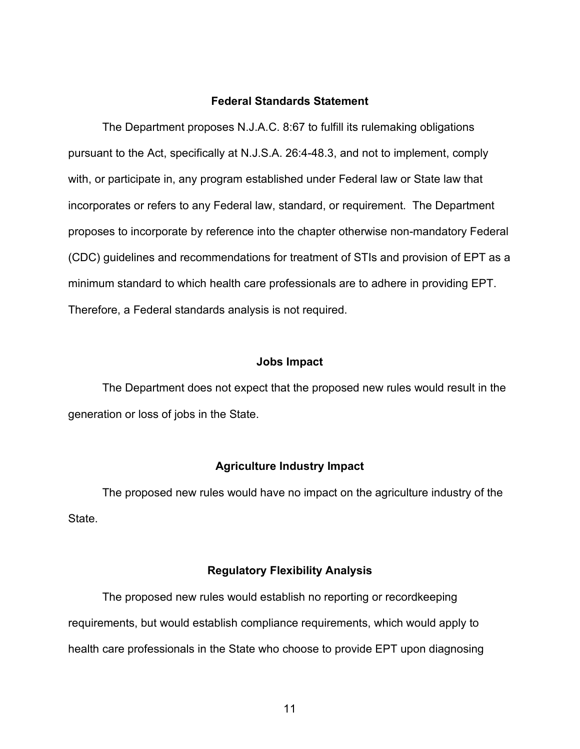## **Federal Standards Statement**

The Department proposes N.J.A.C. 8:67 to fulfill its rulemaking obligations pursuant to the Act, specifically at N.J.S.A. 26:4-48.3, and not to implement, comply with, or participate in, any program established under Federal law or State law that incorporates or refers to any Federal law, standard, or requirement. The Department proposes to incorporate by reference into the chapter otherwise non-mandatory Federal (CDC) guidelines and recommendations for treatment of STIs and provision of EPT as a minimum standard to which health care professionals are to adhere in providing EPT. Therefore, a Federal standards analysis is not required.

### **Jobs Impact**

The Department does not expect that the proposed new rules would result in the generation or loss of jobs in the State.

## **Agriculture Industry Impact**

The proposed new rules would have no impact on the agriculture industry of the State.

#### **Regulatory Flexibility Analysis**

The proposed new rules would establish no reporting or recordkeeping requirements, but would establish compliance requirements, which would apply to health care professionals in the State who choose to provide EPT upon diagnosing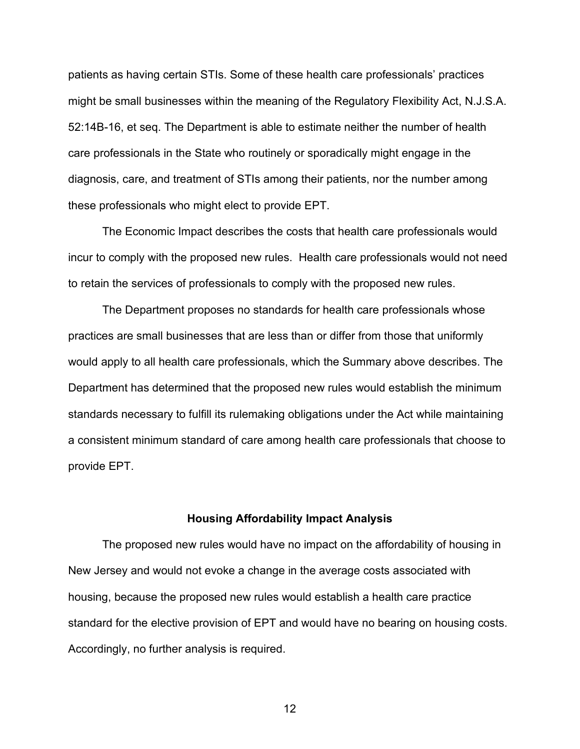patients as having certain STIs. Some of these health care professionals' practices might be small businesses within the meaning of the Regulatory Flexibility Act, N.J.S.A. 52:14B-16, et seq. The Department is able to estimate neither the number of health care professionals in the State who routinely or sporadically might engage in the diagnosis, care, and treatment of STIs among their patients, nor the number among these professionals who might elect to provide EPT.

The Economic Impact describes the costs that health care professionals would incur to comply with the proposed new rules. Health care professionals would not need to retain the services of professionals to comply with the proposed new rules.

The Department proposes no standards for health care professionals whose practices are small businesses that are less than or differ from those that uniformly would apply to all health care professionals, which the Summary above describes. The Department has determined that the proposed new rules would establish the minimum standards necessary to fulfill its rulemaking obligations under the Act while maintaining a consistent minimum standard of care among health care professionals that choose to provide EPT.

## **Housing Affordability Impact Analysis**

The proposed new rules would have no impact on the affordability of housing in New Jersey and would not evoke a change in the average costs associated with housing, because the proposed new rules would establish a health care practice standard for the elective provision of EPT and would have no bearing on housing costs. Accordingly, no further analysis is required.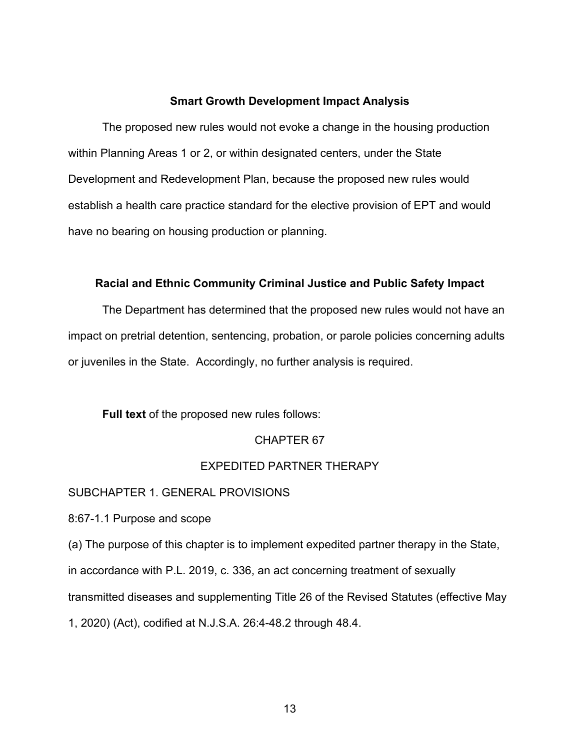## **Smart Growth Development Impact Analysis**

The proposed new rules would not evoke a change in the housing production within Planning Areas 1 or 2, or within designated centers, under the State Development and Redevelopment Plan, because the proposed new rules would establish a health care practice standard for the elective provision of EPT and would have no bearing on housing production or planning.

### **Racial and Ethnic Community Criminal Justice and Public Safety Impact**

The Department has determined that the proposed new rules would not have an impact on pretrial detention, sentencing, probation, or parole policies concerning adults or juveniles in the State. Accordingly, no further analysis is required.

## **Full text** of the proposed new rules follows:

#### CHAPTER 67

## EXPEDITED PARTNER THERAPY

#### SUBCHAPTER 1. GENERAL PROVISIONS

8:67-1.1 Purpose and scope

(a) The purpose of this chapter is to implement expedited partner therapy in the State,

in accordance with P.L. 2019, c. 336, an act concerning treatment of sexually

transmitted diseases and supplementing Title 26 of the Revised Statutes (effective May

1, 2020) (Act), codified at N.J.S.A. 26:4-48.2 through 48.4.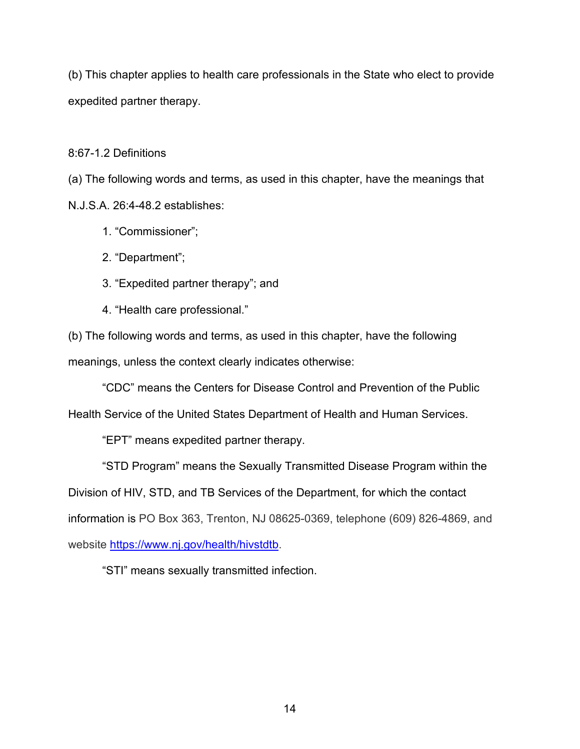(b) This chapter applies to health care professionals in the State who elect to provide expedited partner therapy.

8:67-1.2 Definitions

(a) The following words and terms, as used in this chapter, have the meanings that N.J.S.A. 26:4-48.2 establishes:

- 1. "Commissioner";
- 2. "Department";
- 3. "Expedited partner therapy"; and
- 4. "Health care professional."

(b) The following words and terms, as used in this chapter, have the following meanings, unless the context clearly indicates otherwise:

"CDC" means the Centers for Disease Control and Prevention of the Public

Health Service of the United States Department of Health and Human Services.

"EPT" means expedited partner therapy.

"STD Program" means the Sexually Transmitted Disease Program within the Division of HIV, STD, and TB Services of the Department, for which the contact information is PO Box 363, Trenton, NJ 08625-0369, telephone (609) 826-4869, and website [https://www.nj.gov/health/hivstdtb.](https://www.nj.gov/health/hivstdtb)

"STI" means sexually transmitted infection.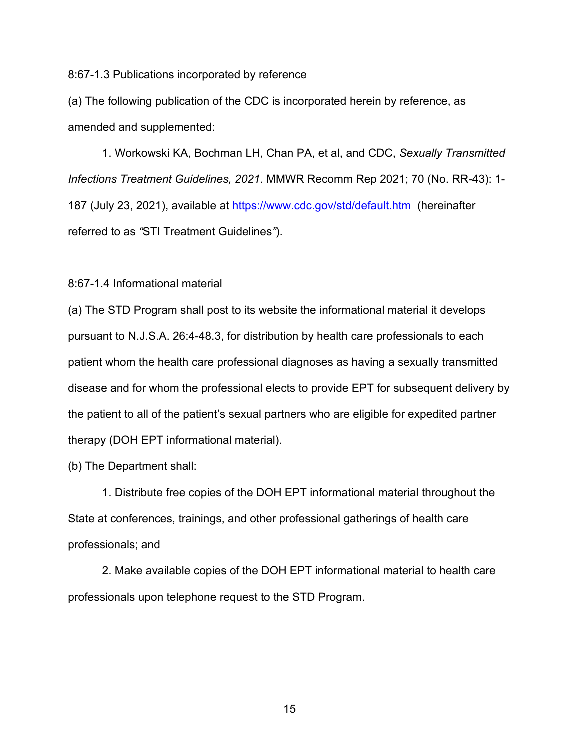8:67-1.3 Publications incorporated by reference

(a) The following publication of the CDC is incorporated herein by reference, as amended and supplemented:

1. Workowski KA, Bochman LH, Chan PA, et al, and CDC, *Sexually Transmitted Infections Treatment Guidelines, 2021*. MMWR Recomm Rep 2021; 70 (No. RR-43): 1- 187 (July 23, 2021), available at<https://www.cdc.gov/std/default.htm> (hereinafter referred to as *"*STI Treatment Guidelines*"*).

8:67-1.4 Informational material

(a) The STD Program shall post to its website the informational material it develops pursuant to N.J.S.A. 26:4-48.3, for distribution by health care professionals to each patient whom the health care professional diagnoses as having a sexually transmitted disease and for whom the professional elects to provide EPT for subsequent delivery by the patient to all of the patient's sexual partners who are eligible for expedited partner therapy (DOH EPT informational material).

(b) The Department shall:

1. Distribute free copies of the DOH EPT informational material throughout the State at conferences, trainings, and other professional gatherings of health care professionals; and

2. Make available copies of the DOH EPT informational material to health care professionals upon telephone request to the STD Program.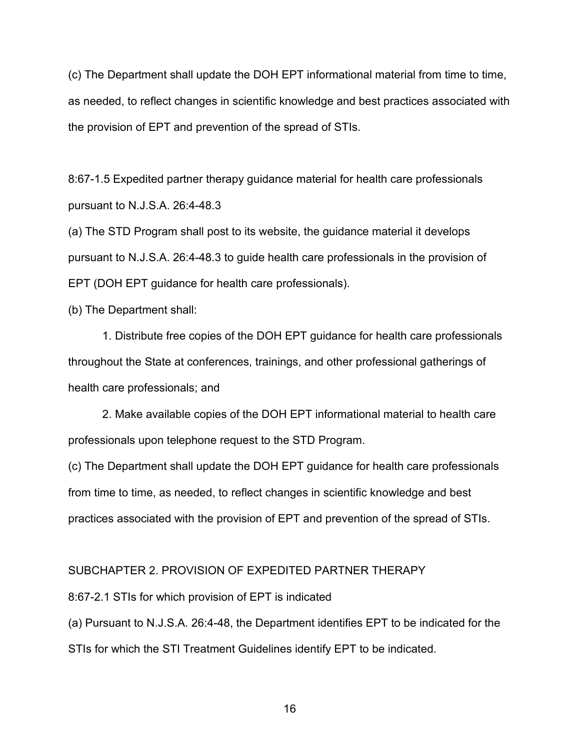(c) The Department shall update the DOH EPT informational material from time to time, as needed, to reflect changes in scientific knowledge and best practices associated with the provision of EPT and prevention of the spread of STIs.

8:67-1.5 Expedited partner therapy guidance material for health care professionals pursuant to N.J.S.A. 26:4-48.3

(a) The STD Program shall post to its website, the guidance material it develops pursuant to N.J.S.A. 26:4-48.3 to guide health care professionals in the provision of EPT (DOH EPT guidance for health care professionals).

(b) The Department shall:

1. Distribute free copies of the DOH EPT guidance for health care professionals throughout the State at conferences, trainings, and other professional gatherings of health care professionals; and

2. Make available copies of the DOH EPT informational material to health care professionals upon telephone request to the STD Program.

(c) The Department shall update the DOH EPT guidance for health care professionals from time to time, as needed, to reflect changes in scientific knowledge and best practices associated with the provision of EPT and prevention of the spread of STIs.

## SUBCHAPTER 2. PROVISION OF EXPEDITED PARTNER THERAPY

8:67-2.1 STIs for which provision of EPT is indicated

(a) Pursuant to N.J.S.A. 26:4-48, the Department identifies EPT to be indicated for the STIs for which the STI Treatment Guidelines identify EPT to be indicated.